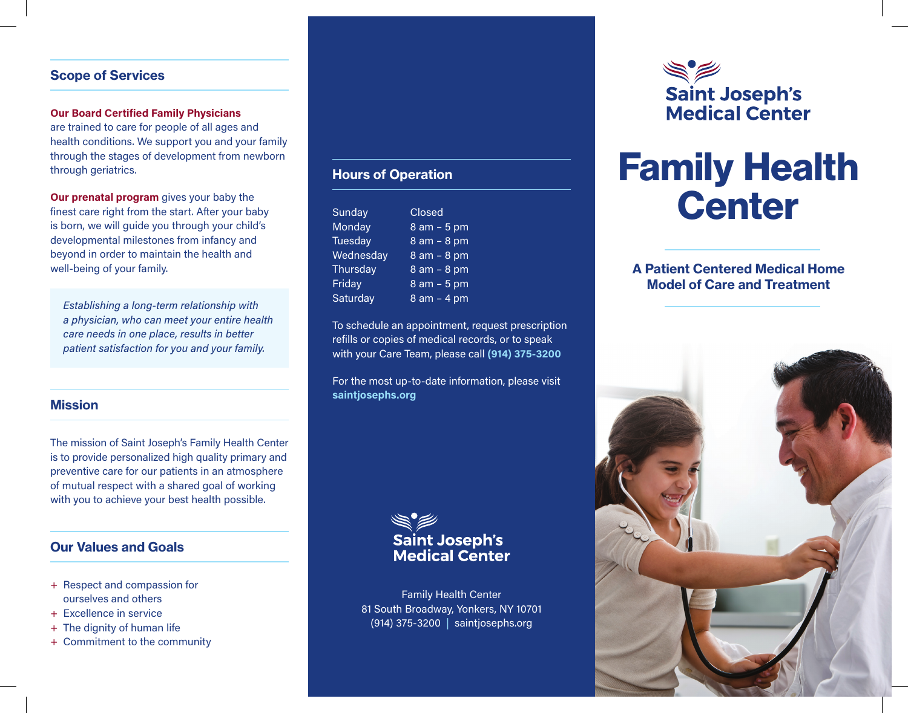### Scope of Services

#### **Our Board Certified Family Physicians**

are trained to care for people of all ages and health conditions. We support you and your family through the stages of development from newborn through geriatrics.

**Our prenatal program** gives your baby the finest care right from the start. After your baby is born, we will guide you through your child's developmental milestones from infancy and beyond in order to maintain the health and well-being of your family.

*Establishing a long-term relationship with a physician, who can meet your entire health care needs in one place, results in better patient satisfaction for you and your family.*

#### **Mission**

The mission of Saint Joseph's Family Health Center is to provide personalized high quality primary and preventive care for our patients in an atmosphere of mutual respect with a shared goal of working with you to achieve your best health possible.

#### Our Values and Goals

- + Respect and compassion for ourselves and others
- + Excellence in service
- + The dignity of human life
- + Commitment to the community

## Hours of Operation

| <b>Sunday</b>  | <b>Closed</b>   |
|----------------|-----------------|
| Monday         | $8$ am $-5$ pm  |
| <b>Tuesday</b> | $8$ am $-$ 8 pm |
| Wednesday      | 8 am - 8 pm     |
| Thursday       | 8 am - 8 pm     |
| Friday         | $8$ am $-5$ pm  |
| Saturday       | $8$ am $-$ 4 pm |

To schedule an appointment, request prescription refills or copies of medical records, or to speak with your Care Team, please call **(914) 375-3200**

For the most up-to-date information, please visit **saintjosephs.org**



Family Health Center 81 South Broadway, Yonkers, NY 10701 (914) 375-3200 | saintjosephs.org



# Family Health **Center**

### A Patient Centered Medical Home Model of Care and Treatment